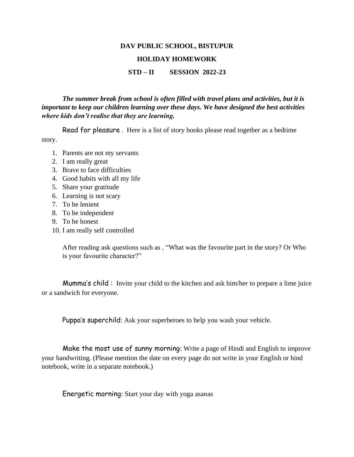## **DAV PUBLIC SCHOOL, BISTUPUR**

### **HOLIDAY HOMEWORK**

### **STD – II SESSION 2022-23**

## *The summer break from school is often filled with travel plans and activities, but it is important to keep our children learning over these days. We have designed the best activities where kids don't realise that they are learning.*

Read for pleasure . Here is a list of story books please read together as a bedtime story.

- 1. Parents are not my servants
- 2. I am really great
- 3. Brave to face difficulties
- 4. Good habits with all my life
- 5. Share your gratitude
- 6. Learning is not scary
- 7. To be lenient
- 8. To be independent
- 9. To be honest
- 10. I am really self controlled

After reading ask questions such as , "What was the favourite part in the story? Or Who is your favourite character?"

Mumma's child : Invite your child to the kitchen and ask him/her to prepare a lime juice or a sandwich for everyone.

Puppa's superchild: Ask your superheroes to help you wash your vehicle.

Make the most use of sunny morning: Write a page of Hindi and English to improve your handwriting. (Please mention the date on every page do not write in your English or hind notebook, write in a separate notebook.)

Energetic morning: Start your day with yoga asanas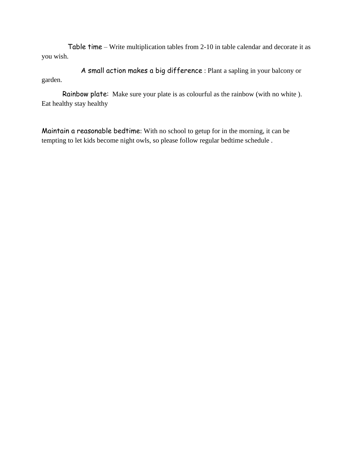Table time – Write multiplication tables from 2-10 in table calendar and decorate it as you wish.

 A small action makes a big difference : Plant a sapling in your balcony or garden.

 Rainbow plate: Make sure your plate is as colourful as the rainbow (with no white ). Eat healthy stay healthy

Maintain a reasonable bedtime: With no school to getup for in the morning, it can be tempting to let kids become night owls, so please follow regular bedtime schedule .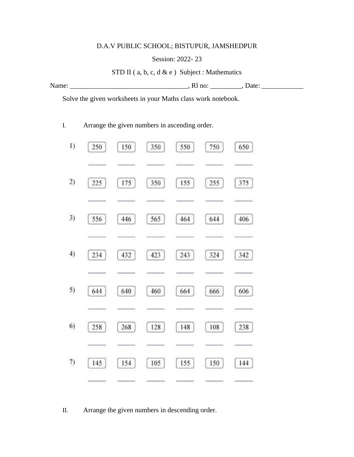# D.A.V PUBLIC SCHOOL; BISTUPUR, JAMSHEDPUR

## Session: 2022- 23

STD II (a, b, c, d & e) Subject : Mathematics

| - -<br>. .<br>$- - - -$ | . | --- |
|-------------------------|---|-----|
|                         |   |     |

Solve the given worksheets in your Maths class work notebook.

I. Arrange the given numbers in ascending order.

| $_{1)}$ | 250 | 150 | 350 | 550 | 750 | 650 |
|---------|-----|-----|-----|-----|-----|-----|
|         |     |     |     |     |     |     |
| 2)      | 225 | 175 | 350 | 155 | 255 | 375 |
|         |     |     |     |     |     |     |
| 3)      | 556 | 446 | 565 | 464 | 644 | 406 |
|         |     |     |     |     |     |     |
| 4)      | 234 | 432 | 423 | 243 | 324 | 342 |
|         |     |     |     |     |     |     |
| 5)      | 644 | 640 | 460 | 664 | 666 | 606 |
|         |     |     |     |     |     |     |
| 6)      | 258 | 268 | 128 | 148 | 108 | 238 |
|         |     |     |     |     |     |     |
| 7)      | 145 | 154 | 105 | 155 | 150 | 144 |
|         |     |     |     |     |     |     |

II. Arrange the given numbers in descending order.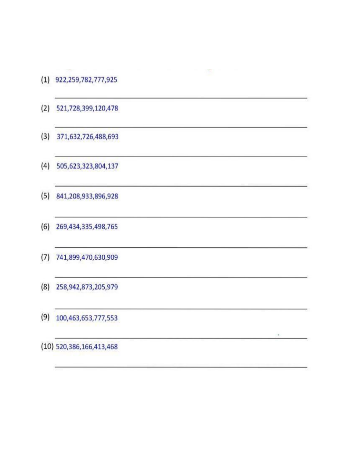$(1)$  922,259,782,777,925

 $\label{eq:2.1} \mathcal{P}(\mathcal{P}_{\mathcal{P}_{\mathcal{P}_{\mathcal{P}}}}) = \mathcal{P}(\mathcal{P}_{\mathcal{P}_{\mathcal{P}_{\mathcal{P}}}})$ 

 $\,$ 

- $(2)$  521,728,399,120,478
- $(3)$  371,632,726,488,693
- (4) 505,623,323,804,137
- $(5)$  841,208,933,896,928
- (6) 269,434,335,498,765
- (7) 741,899,470,630,909
- (8) 258, 942, 873, 205, 979
- $(9)$  100,463,653,777,553

(10) 520,386,166,413,468